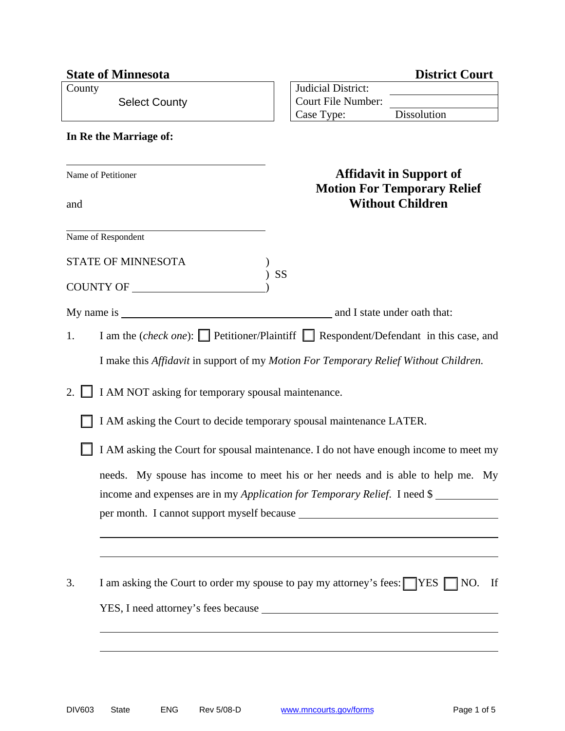| <b>State of Minnesota</b>                                | <b>District Court</b>                                                                        |
|----------------------------------------------------------|----------------------------------------------------------------------------------------------|
| County                                                   | Judicial District:                                                                           |
| <b>Select County</b>                                     | Court File Number:                                                                           |
|                                                          | Dissolution<br>Case Type:                                                                    |
| In Re the Marriage of:                                   |                                                                                              |
|                                                          |                                                                                              |
| Name of Petitioner                                       | <b>Affidavit in Support of</b>                                                               |
|                                                          | <b>Motion For Temporary Relief</b>                                                           |
| and                                                      | <b>Without Children</b>                                                                      |
|                                                          |                                                                                              |
| Name of Respondent                                       |                                                                                              |
| <b>STATE OF MINNESOTA</b>                                |                                                                                              |
|                                                          | SS                                                                                           |
| COUNTY OF _________                                      |                                                                                              |
|                                                          | and I state under oath that:                                                                 |
| 1.                                                       | I am the ( <i>check one</i> ): Petitioner/Plaintiff Respondent/Defendant in this case, and   |
|                                                          | I make this Affidavit in support of my Motion For Temporary Relief Without Children.         |
| I AM NOT asking for temporary spousal maintenance.<br>2. |                                                                                              |
|                                                          | I AM asking the Court to decide temporary spousal maintenance LATER.                         |
|                                                          | I AM asking the Court for spousal maintenance. I do not have enough income to meet my        |
|                                                          | needs. My spouse has income to meet his or her needs and is able to help me. My              |
|                                                          | income and expenses are in my <i>Application for Temporary Relief.</i> I need \$             |
|                                                          |                                                                                              |
|                                                          |                                                                                              |
|                                                          |                                                                                              |
|                                                          |                                                                                              |
| 3.                                                       | I am asking the Court to order my spouse to pay my attorney's fees: $\Box$ YES $\Box$ NO. If |
|                                                          |                                                                                              |
|                                                          |                                                                                              |
|                                                          |                                                                                              |
|                                                          |                                                                                              |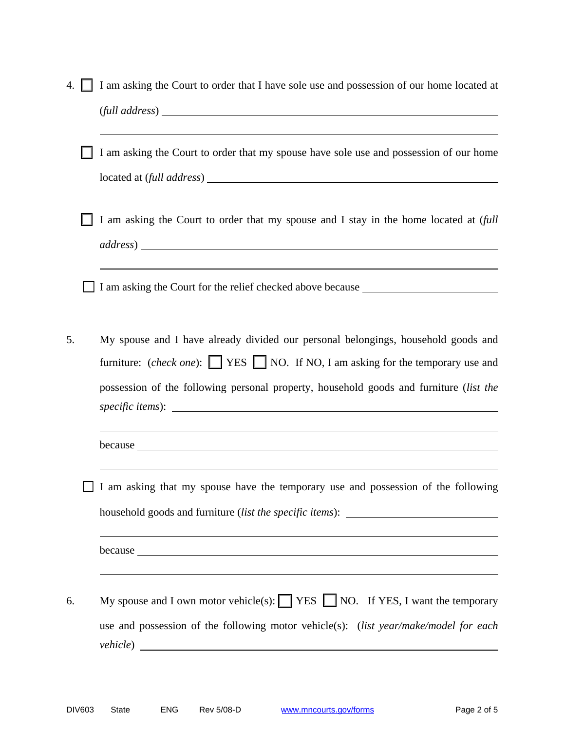| 4. | I am asking the Court to order that I have sole use and possession of our home located at<br>$\left(\text{full address}\right)$ $\_\_\_\_\_\_\_\_\_\_\_\_\_$                                                                                                                                                                                                                                                                                                                                                      |
|----|-------------------------------------------------------------------------------------------------------------------------------------------------------------------------------------------------------------------------------------------------------------------------------------------------------------------------------------------------------------------------------------------------------------------------------------------------------------------------------------------------------------------|
|    | I am asking the Court to order that my spouse have sole use and possession of our home                                                                                                                                                                                                                                                                                                                                                                                                                            |
|    | I am asking the Court to order that my spouse and I stay in the home located at (full                                                                                                                                                                                                                                                                                                                                                                                                                             |
|    | I am asking the Court for the relief checked above because                                                                                                                                                                                                                                                                                                                                                                                                                                                        |
| 5. | My spouse and I have already divided our personal belongings, household goods and<br>furniture: (check one): $\Box$ YES $\Box$ NO. If NO, I am asking for the temporary use and<br>possession of the following personal property, household goods and furniture (list the<br>because <u>experimental and the set of the set of the set of the set of the set of the set of the set of the set of the set of the set of the set of the set of the set of the set of the set of the set of the set of the set o</u> |
|    | I am asking that my spouse have the temporary use and possession of the following<br>household goods and furniture (list the specific items): ________________________<br>because <u>experience</u> and the contract of the contract of the contract of the contract of the contract of the contract of the contract of the contract of the contract of the contract of the contract of the contract of the c                                                                                                     |
| 6. | My spouse and I own motor vehicle(s): $\Box$ YES $\Box$ NO. If YES, I want the temporary<br>use and possession of the following motor vehicle(s): (list year/make/model for each                                                                                                                                                                                                                                                                                                                                  |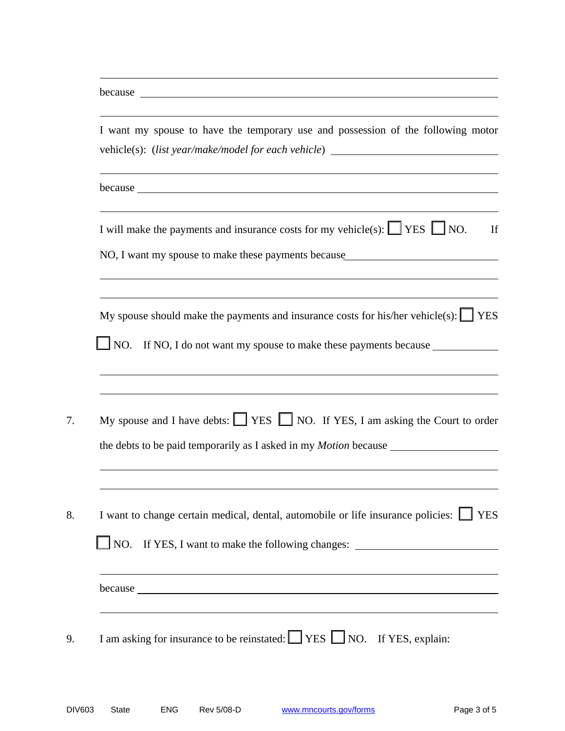| because <u>experimental and the set of the set of the set of the set of the set of the set of the set of the set of the set of the set of the set of the set of the set of the set of the set of the set of the set of the set o</u>                                                                              |
|-------------------------------------------------------------------------------------------------------------------------------------------------------------------------------------------------------------------------------------------------------------------------------------------------------------------|
| I will make the payments and insurance costs for my vehicle(s): $\Box$ YES $\Box$ NO.                                                                                                                                                                                                                             |
| NO, I want my spouse to make these payments because<br>My spouse should make the payments and insurance costs for his/her vehicle(s): $\Box$ YES<br>NO. If NO, I do not want my spouse to make these payments because<br>My spouse and I have debts: $\Box$ YES $\Box$ NO. If YES, I am asking the Court to order |
|                                                                                                                                                                                                                                                                                                                   |
|                                                                                                                                                                                                                                                                                                                   |
|                                                                                                                                                                                                                                                                                                                   |
|                                                                                                                                                                                                                                                                                                                   |
|                                                                                                                                                                                                                                                                                                                   |
| I want to change certain medical, dental, automobile or life insurance policies: VES                                                                                                                                                                                                                              |
| $\Box$ NO.<br>If YES, I want to make the following changes: __________________________________                                                                                                                                                                                                                    |
| because <u>the contract of the contract of the contract of the contract of the contract of the contract of the contract of the contract of the contract of the contract of the contract of the contract of the contract of the c</u>                                                                              |

l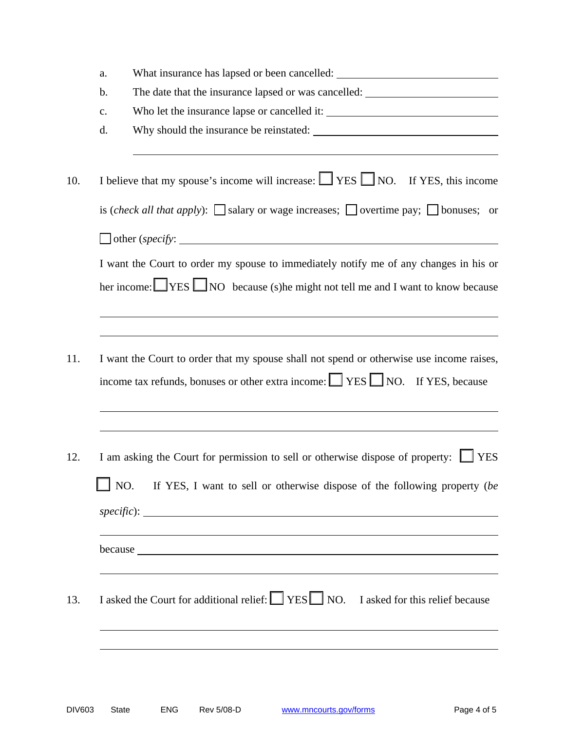| $\mathbf b$ . | What insurance has lapsed or been cancelled: ___________________________________                                                                                                                                                    |
|---------------|-------------------------------------------------------------------------------------------------------------------------------------------------------------------------------------------------------------------------------------|
|               | The date that the insurance lapsed or was cancelled: ____________________________                                                                                                                                                   |
| $C_{\bullet}$ |                                                                                                                                                                                                                                     |
| d.            | Why should the insurance be reinstated:                                                                                                                                                                                             |
|               | I believe that my spouse's income will increase: $\Box$ YES $\Box$ NO. If YES, this income                                                                                                                                          |
|               | is <i>(check all that apply)</i> : $\Box$ salary or wage increases; $\Box$ overtime pay; $\Box$ bonuses; or                                                                                                                         |
|               | $\Box$ other (specify: $\Box$                                                                                                                                                                                                       |
|               | I want the Court to order my spouse to immediately notify me of any changes in his or                                                                                                                                               |
|               | her income: <u>YES</u> NO because (s) he might not tell me and I want to know because                                                                                                                                               |
|               |                                                                                                                                                                                                                                     |
|               |                                                                                                                                                                                                                                     |
|               | I want the Court to order that my spouse shall not spend or otherwise use income raises,                                                                                                                                            |
|               | income tax refunds, bonuses or other extra income: $\Box$ YES $\Box$ NO. If YES, because                                                                                                                                            |
|               |                                                                                                                                                                                                                                     |
|               |                                                                                                                                                                                                                                     |
|               |                                                                                                                                                                                                                                     |
|               | I am asking the Court for permission to sell or otherwise dispose of property:<br><b>YES</b>                                                                                                                                        |
|               |                                                                                                                                                                                                                                     |
| $\perp$ NO.   | If YES, I want to sell or otherwise dispose of the following property (be                                                                                                                                                           |
|               |                                                                                                                                                                                                                                     |
|               | because <u>experience</u> and the contract of the contract of the contract of the contract of the contract of the contract of the contract of the contract of the contract of the contract of the contract of the contract of the c |
|               |                                                                                                                                                                                                                                     |
|               | I asked the Court for additional relief: $\Box$ YES $\Box$ NO. I asked for this relief because                                                                                                                                      |
|               |                                                                                                                                                                                                                                     |